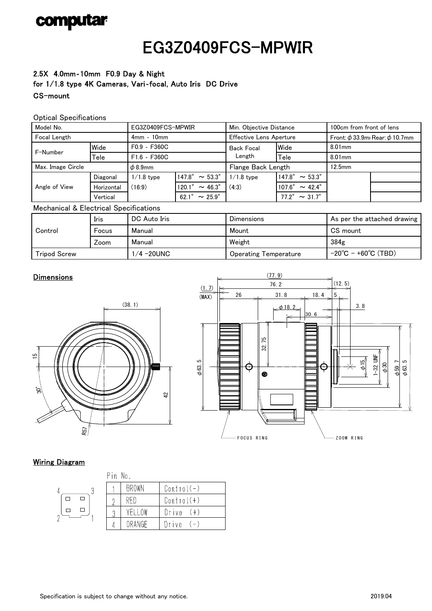## computar

# EG3Z0409FCS-MPWIR

## CS-mount 2.5X 4.0mm‐10mm F0.9 Day & Night for 1/1.8 type 4K Cameras, Vari‐focal, Auto Iris DC Drive

### Optical Specifications

| Model No.         |            | EG3Z0409FCS-MPWIR |                                 | Min. Objective Distance        |                                  | 100cm from front of lens                 |  |
|-------------------|------------|-------------------|---------------------------------|--------------------------------|----------------------------------|------------------------------------------|--|
| Focal Length      |            | $4mm - 10mm$      |                                 | <b>Effective Lens Aperture</b> |                                  | Front: $\phi$ 33.9mi Rear: $\phi$ 10.7mm |  |
| F-Number          | Wide       | $F0.9 - F360C$    |                                 | <b>Back Focal</b><br>Length    | Wide                             | $8.01$ mm                                |  |
|                   | Tele       | $F1.6 - F360C$    |                                 |                                | Tele                             | $8.01$ mm                                |  |
| Max. Image Circle |            | $\phi$ 8.9mm      |                                 | Flange Back Length             |                                  | 12.5mm                                   |  |
| Angle of View     | Diagonal   | $1/1.8$ type      | $147.8^{\circ}$ ~ 53.3°         | $1/1.8$ type                   | $147.8^{\circ}$ ~ 53.3°          |                                          |  |
|                   | Horizontal | (16:9)            | $120.1^{\circ}$ ~ 46.3°         | (4:3)                          | $107.6^{\circ}$ ~ 42.4°          |                                          |  |
|                   | Vertical   |                   | $62.1^{\circ}$ ~ $25.9^{\circ}$ |                                | $77.2^{\circ} \sim 31.7^{\circ}$ |                                          |  |

### Mechanical & Electrical Specifications

|              | Iris  | DC Auto Iris | <b>Dimensions</b>            | As per the attached drawing              |  |
|--------------|-------|--------------|------------------------------|------------------------------------------|--|
| Control      | Focus | Manual       | Mount                        | CS mount                                 |  |
|              | ∠oom  | Manual       | Weight                       | 384g                                     |  |
| Tripod Screw |       | 1⁄4 −20UNC   | <b>Operating Temperature</b> | $-20^{\circ}$ C – +60 $^{\circ}$ C (TBD) |  |

### **Dimensions**





### Wiring Diagram

| Pın No. |              |                |  |  |
|---------|--------------|----------------|--|--|
|         | <b>BROWN</b> | $Controll(-)$  |  |  |
|         | RED          | $Control(+)$   |  |  |
|         | YELLOW       | $Dirive$ $(+)$ |  |  |
|         | ORANGE       | Drive<br>$(-)$ |  |  |